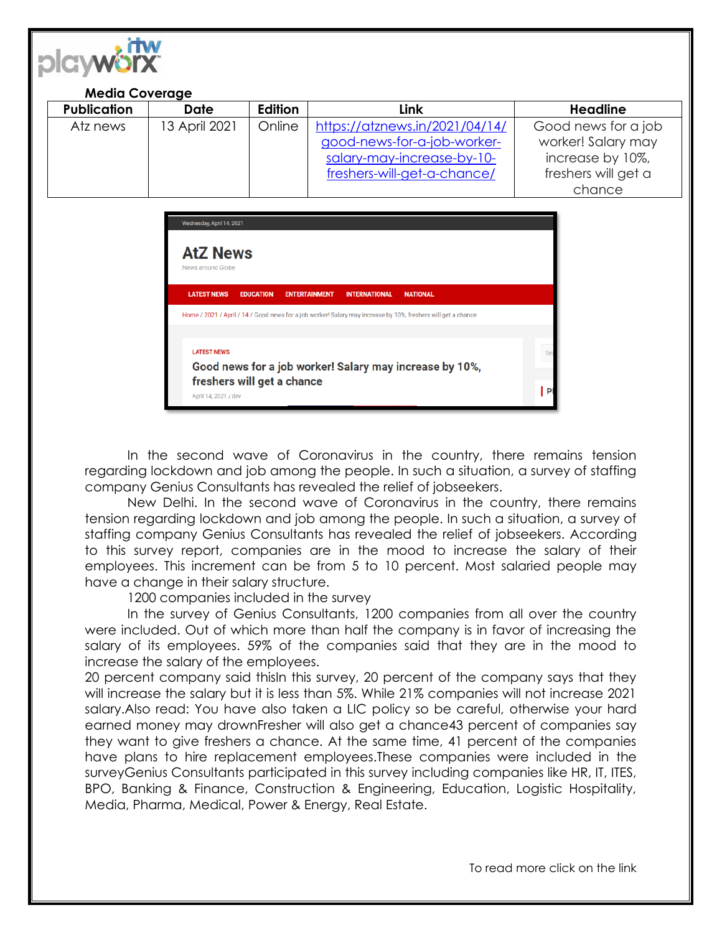

## **Media Coverage**

| <b>Publication</b> | Date          | Edition | Link                           | Headline            |
|--------------------|---------------|---------|--------------------------------|---------------------|
| Atz news           | 13 April 2021 | Online  | https://atznews.in/2021/04/14/ | Good news for a job |
|                    |               |         | good-news-for-a-job-worker-    | worker! Salary may  |
|                    |               |         | salary-may-increase-by-10-     | increase by 10%,    |
|                    |               |         | freshers-will-get-a-chance/    | freshers will get a |
|                    |               |         |                                | chance              |

|                                                                               | Wednesday, April 14, 2021            |                  |                      |                      |                                                                                                               |     |
|-------------------------------------------------------------------------------|--------------------------------------|------------------|----------------------|----------------------|---------------------------------------------------------------------------------------------------------------|-----|
|                                                                               | <b>AtZ News</b><br>News around Globe |                  |                      |                      |                                                                                                               |     |
|                                                                               | <b>LATEST NEWS</b>                   | <b>EDUCATION</b> | <b>ENTERTAINMENT</b> | <b>INTERNATIONAL</b> | <b>NATIONAL</b>                                                                                               |     |
|                                                                               |                                      |                  |                      |                      | Home / 2021 / April / 14 / Good news for a job worker! Salary may increase by 10%, freshers will get a chance |     |
| <b>LATEST NEWS</b><br>Good news for a job worker! Salary may increase by 10%, |                                      |                  |                      |                      |                                                                                                               | Sea |
| freshers will get a chance<br>April 14, 2021 / dev                            |                                      |                  |                      |                      |                                                                                                               |     |

In the second wave of Coronavirus in the country, there remains tension regarding lockdown and job among the people. In such a situation, a survey of staffing company Genius Consultants has revealed the relief of jobseekers.

New Delhi. In the second wave of Coronavirus in the country, there remains tension regarding lockdown and job among the people. In such a situation, a survey of staffing company Genius Consultants has revealed the relief of jobseekers. According to this survey report, companies are in the mood to increase the salary of their employees. This increment can be from 5 to 10 percent. Most salaried people may have a change in their salary structure.

1200 companies included in the survey

In the survey of Genius Consultants, 1200 companies from all over the country were included. Out of which more than half the company is in favor of increasing the salary of its employees. 59% of the companies said that they are in the mood to increase the salary of the employees.

20 percent company said thisIn this survey, 20 percent of the company says that they will increase the salary but it is less than 5%. While 21% companies will not increase 2021 salary.Also read: You have also taken a LIC policy so be careful, otherwise your hard earned money may drownFresher will also get a chance43 percent of companies say they want to give freshers a chance. At the same time, 41 percent of the companies have plans to hire replacement employees.These companies were included in the surveyGenius Consultants participated in this survey including companies like HR, IT, ITES, BPO, Banking & Finance, Construction & Engineering, Education, Logistic Hospitality, Media, Pharma, Medical, Power & Energy, Real Estate.